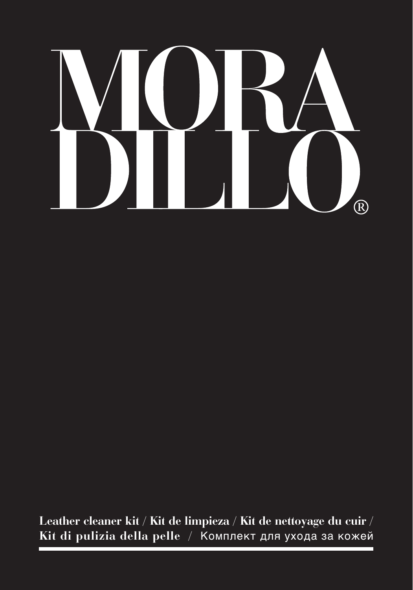# $\overline{\phantom{a}}$  $\overline{R}$

**Leather cleaner kit / Kit de limpieza / Kit de nettoyage du cuir / Kit di pulizia della pelle /** Комплект для ухода за кожей

ń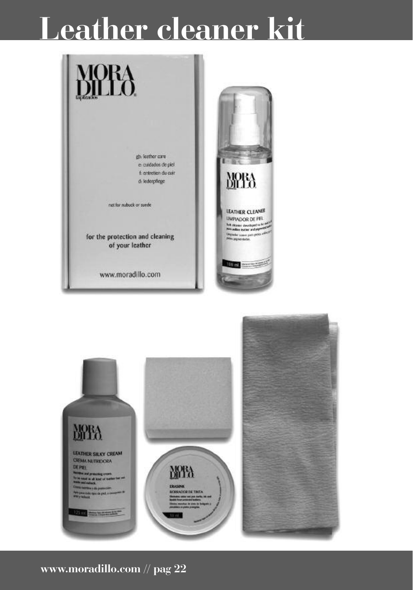### **Leather cleaner kit**



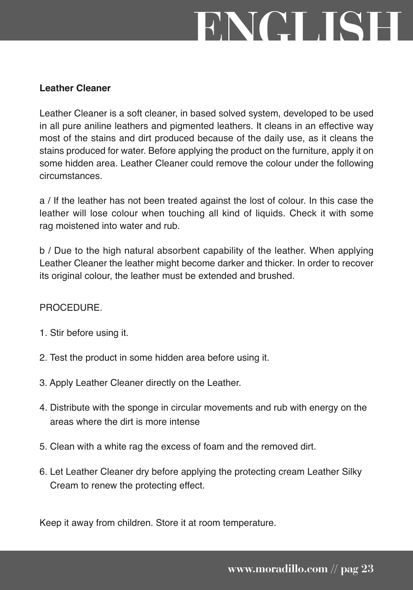# **ENGLISH**

#### **Leather Cleaner**

Leather Cleaner is a soft cleaner, in based solved system, developed to be used in all pure aniline leathers and pigmented leathers. It cleans in an effective way most of the stains and dirt produced because of the daily use, as it cleans the stains produced for water. Before applying the product on the furniture, apply it on some hidden area. Leather Cleaner could remove the colour under the following circumstances.

a / If the leather has not been treated against the lost of colour. In this case the leather will lose colour when touching all kind of liquids. Check it with some rag moistened into water and rub.

b / Due to the high natural absorbent capability of the leather. When applying Leather Cleaner the leather might become darker and thicker. In order to recover its original colour, the leather must be extended and brushed.

#### **PROCEDURE**

- 1. Stir before using it.
- 2. Test the product in some hidden area before using it.
- 3. Apply Leather Cleaner directly on the Leather.
- 4. Distribute with the sponge in circular movements and rub with energy on the areas where the dirt is more intense
- 5. Clean with a white rag the excess of foam and the removed dirt.
- 6. Let Leather Cleaner dry before applying the protecting cream Leather Silky Cream to renew the protecting effect.

Keep it away from children. Store it at room temperature.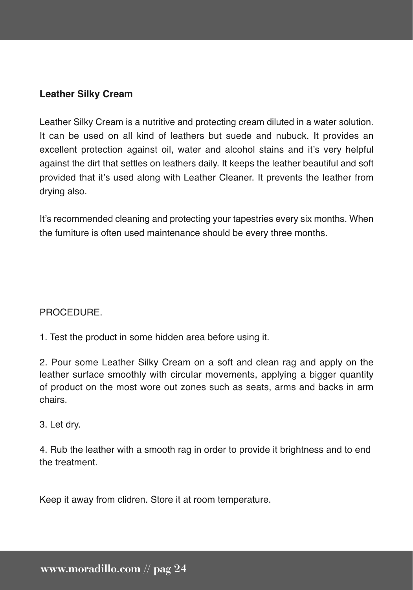Leather Silky Cream is a nutritive and protecting cream diluted in a water solution. It can be used on all kind of leathers but suede and nubuck. It provides an excellent protection against oil, water and alcohol stains and it's very helpful against the dirt that settles on leathers daily. It keeps the leather beautiful and soft provided that it's used along with Leather Cleaner. It prevents the leather from drying also.

It's recommended cleaning and protecting your tapestries every six months. When the furniture is often used maintenance should be every three months.

#### **PROCEDURE**

1. Test the product in some hidden area before using it.

2. Pour some Leather Silky Cream on a soft and clean rag and apply on the leather surface smoothly with circular movements, applying a bigger quantity of product on the most wore out zones such as seats, arms and backs in arm chairs.

#### 3. Let dry.

4. Rub the leather with a smooth rag in order to provide it brightness and to end the treatment.

Keep it away from clidren. Store it at room temperature.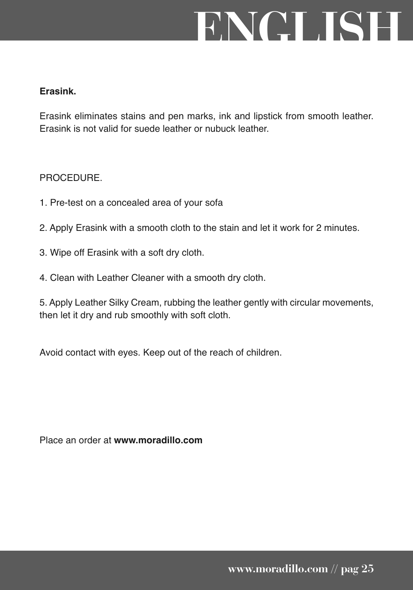# **ENGLISH**

#### **Erasink.**

Erasink eliminates stains and pen marks, ink and lipstick from smooth leather. Erasink is not valid for suede leather or nubuck leather.

#### **PROCEDURE**

- 1. Pre-test on a concealed area of your sofa
- 2. Apply Erasink with a smooth cloth to the stain and let it work for 2 minutes.
- 3. Wipe off Erasink with a soft dry cloth.
- 4. Clean with Leather Cleaner with a smooth dry cloth.

5. Apply Leather Silky Cream, rubbing the leather gently with circular movements, then let it dry and rub smoothly with soft cloth.

Avoid contact with eyes. Keep out of the reach of children.

Place an order at **www.moradillo.com**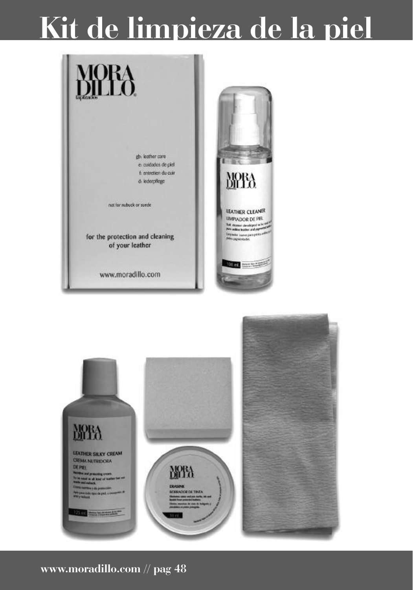### **Kit de limpieza de la piel**



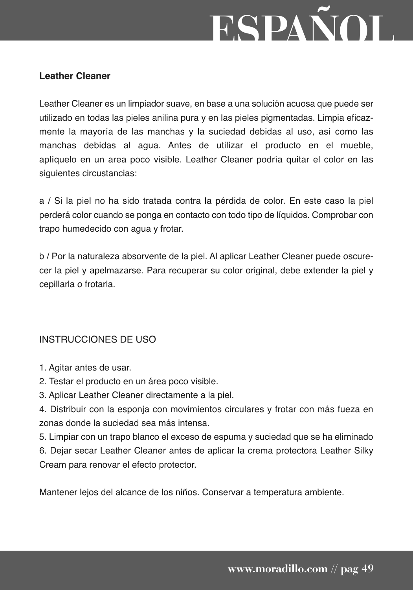# **ESPAÑOL**

#### **Leather Cleaner**

Leather Cleaner es un limpiador suave, en base a una solución acuosa que puede ser utilizado en todas las pieles anilina pura y en las pieles pigmentadas. Limpia eficazmente la mayoría de las manchas y la suciedad debidas al uso, así como las manchas debidas al agua. Antes de utilizar el producto en el mueble, aplíquelo en un area poco visible. Leather Cleaner podría quitar el color en las siguientes circustancias:

a / Si la piel no ha sido tratada contra la pérdida de color. En este caso la piel perderá color cuando se ponga en contacto con todo tipo de líquidos. Comprobar con trapo humedecido con agua y frotar.

b / Por la naturaleza absorvente de la piel. Al aplicar Leather Cleaner puede oscurecer la piel y apelmazarse. Para recuperar su color original, debe extender la piel y cepillarla o frotarla.

#### INSTRUCCIONES DE USO

- 1. Agitar antes de usar.
- 2. Testar el producto en un área poco visible.
- 3. Aplicar Leather Cleaner directamente a la piel.
- 4. Distribuir con la esponja con movimientos circulares y frotar con más fueza en zonas donde la suciedad sea más intensa.

5. Limpiar con un trapo blanco el exceso de espuma y suciedad que se ha eliminado 6. Dejar secar Leather Cleaner antes de aplicar la crema protectora Leather Silky Cream para renovar el efecto protector.

Mantener lejos del alcance de los niños. Conservar a temperatura ambiente.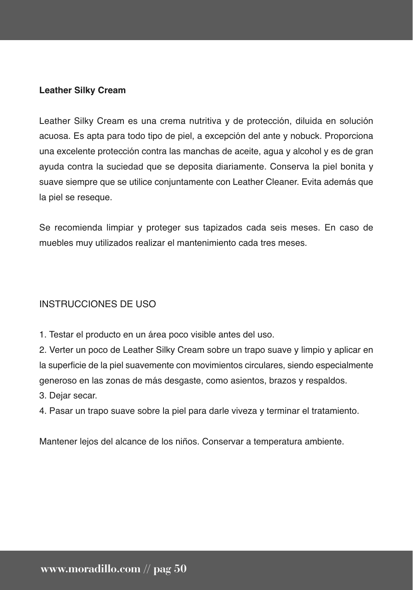Leather Silky Cream es una crema nutritiva y de protección, diluida en solución acuosa. Es apta para todo tipo de piel, a excepción del ante y nobuck. Proporciona una excelente protección contra las manchas de aceite, agua y alcohol y es de gran ayuda contra la suciedad que se deposita diariamente. Conserva la piel bonita y suave siempre que se utilice conjuntamente con Leather Cleaner. Evita además que la piel se reseque.

Se recomienda limpiar y proteger sus tapizados cada seis meses. En caso de muebles muy utilizados realizar el mantenimiento cada tres meses.

#### INSTRUCCIONES DE USO

1. Testar el producto en un área poco visible antes del uso.

2. Verter un poco de Leather Silky Cream sobre un trapo suave y limpio y aplicar en la superficie de la piel suavemente con movimientos circulares, siendo especialmente generoso en las zonas de más desgaste, como asientos, brazos y respaldos.

3. Dejar secar.

4. Pasar un trapo suave sobre la piel para darle viveza y terminar el tratamiento.

Mantener lejos del alcance de los niños. Conservar a temperatura ambiente.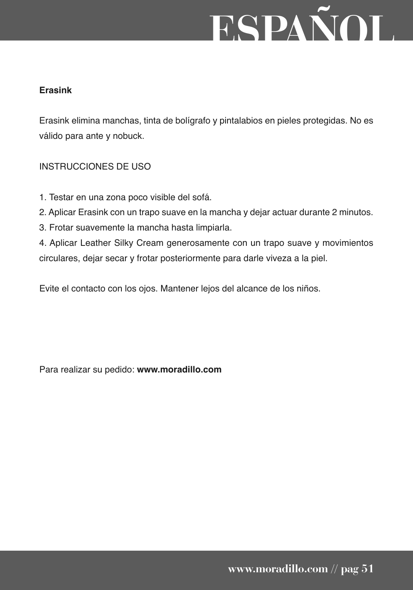# **ESPAÑOL**

#### **Erasink**

Erasink elimina manchas, tinta de bolígrafo y pintalabios en pieles protegidas. No es válido para ante y nobuck.

#### INSTRUCCIONES DE USO

- 1. Testar en una zona poco visible del sofá.
- 2. Aplicar Erasink con un trapo suave en la mancha y dejar actuar durante 2 minutos.
- 3. Frotar suavemente la mancha hasta limpiarla.

4. Aplicar Leather Silky Cream generosamente con un trapo suave y movimientos circulares, dejar secar y frotar posteriormente para darle viveza a la piel.

Evite el contacto con los ojos. Mantener lejos del alcance de los niños.

Para realizar su pedido: **www.moradillo.com**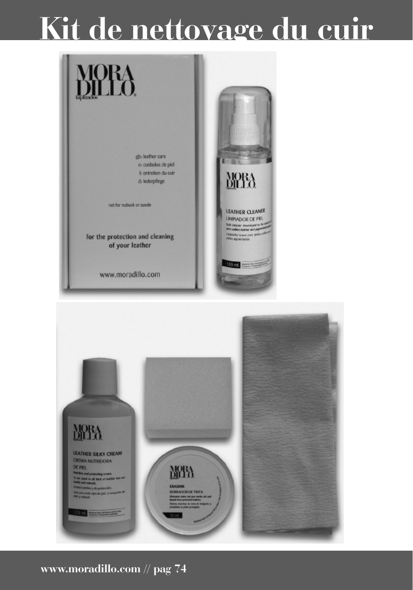### **Kit de nettoyage du cuir**



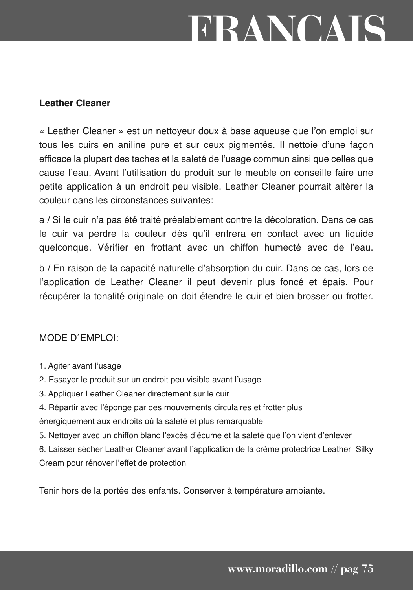## **FRANCAIS**

#### **Leather Cleaner**

« Leather Cleaner » est un nettoyeur doux à base aqueuse que l'on emploi sur tous les cuirs en aniline pure et sur ceux pigmentés. Il nettoie d'une façon efficace la plupart des taches et la saleté de l'usage commun ainsi que celles que cause l'eau. Avant l'utilisation du produit sur le meuble on conseille faire une petite application à un endroit peu visible. Leather Cleaner pourrait altérer la couleur dans les circonstances suivantes:

a / Si le cuir n'a pas été traité préalablement contre la décoloration. Dans ce cas le cuir va perdre la couleur dès qu'il entrera en contact avec un liquide quelconque. Vérifier en frottant avec un chiffon humecté avec de l'eau.

b / En raison de la capacité naturelle d'absorption du cuir. Dans ce cas, lors de l'application de Leather Cleaner il peut devenir plus foncé et épais. Pour récupérer la tonalité originale on doit étendre le cuir et bien brosser ou frotter.

#### MODE D´EMPLOI:

- 1. Agiter avant l'usage
- 2. Essayer le produit sur un endroit peu visible avant l'usage
- 3. Appliquer Leather Cleaner directement sur le cuir
- 4. Répartir avec l'éponge par des mouvements circulaires et frotter plus énergiquement aux endroits où la saleté et plus remarquable
- 5. Nettoyer avec un chiffon blanc l'excès d'écume et la saleté que l'on vient d'enlever
- 6. Laisser sécher Leather Cleaner avant l'application de la crème protectrice Leather Silky Cream pour rénover l'effet de protection

Tenir hors de la portée des enfants. Conserver à température ambiante.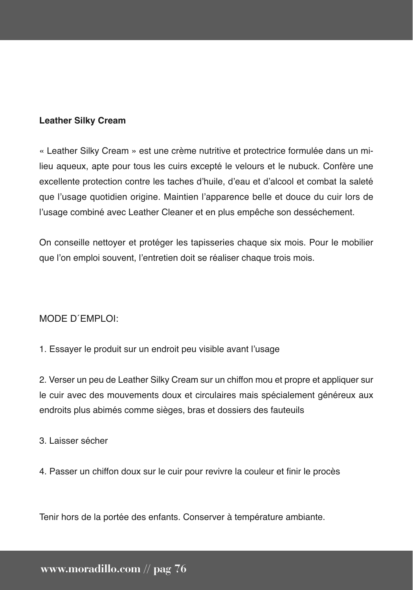« Leather Silky Cream » est une crème nutritive et protectrice formulée dans un milieu aqueux, apte pour tous les cuirs excepté le velours et le nubuck. Confère une excellente protection contre les taches d'huile, d'eau et d'alcool et combat la saleté que l'usage quotidien origine. Maintien l'apparence belle et douce du cuir lors de l'usage combiné avec Leather Cleaner et en plus empêche son desséchement.

On conseille nettoyer et protéger les tapisseries chaque six mois. Pour le mobilier que l'on emploi souvent, l'entretien doit se réaliser chaque trois mois.

#### MODE D´EMPLOI:

1. Essayer le produit sur un endroit peu visible avant l'usage

2. Verser un peu de Leather Silky Cream sur un chiffon mou et propre et appliquer sur le cuir avec des mouvements doux et circulaires mais spécialement généreux aux endroits plus abimés comme sièges, bras et dossiers des fauteuils

3. Laisser sécher

4. Passer un chiffon doux sur le cuir pour revivre la couleur et finir le procès

Tenir hors de la portée des enfants. Conserver à température ambiante.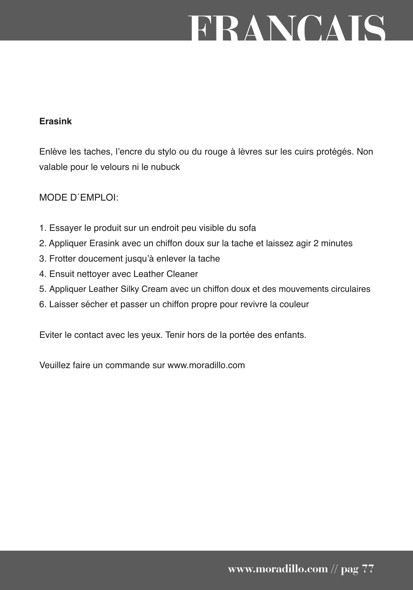### **FRANCAIS**

#### **Erasink**

Enlève les taches, l'encre du stylo ou du rouge à lèvres sur les cuirs protégés. Non valable pour le velours ni le nubuck

#### MODE D´EMPLOI:

- 1. Essayer le produit sur un endroit peu visible du sofa
- 2. Appliquer Erasink avec un chiffon doux sur la tache et laissez agir 2 minutes
- 3. Frotter doucement jusqu'à enlever la tache
- 4. Ensuit nettoyer avec Leather Cleaner
- 5. Appliquer Leather Silky Cream avec un chiffon doux et des mouvements circulaires
- 6. Laisser sécher et passer un chiffon propre pour revivre la couleur

Eviter le contact avec les yeux. Tenir hors de la portée des enfants.

Veuillez faire un commande sur www.moradillo.com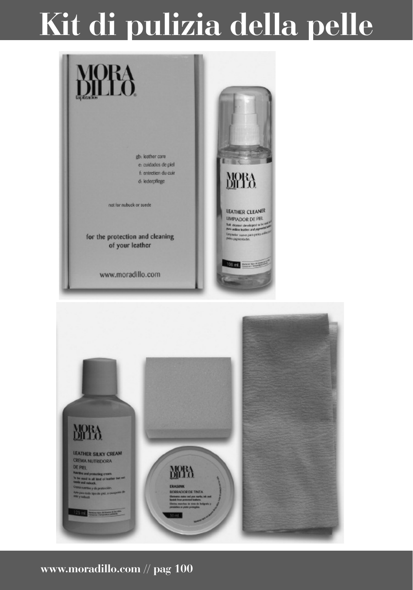### **Kit di pulizia della pelle**



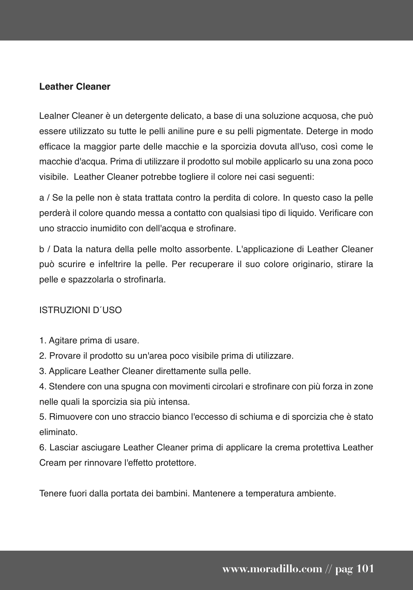#### **Leather Cleaner**

Lealner Cleaner è un detergente delicato, a base di una soluzione acquosa, che può essere utilizzato su tutte le pelli aniline pure e su pelli pigmentate. Deterge in modo efficace la maggior parte delle macchie e la sporcizia dovuta all'uso, così come le macchie d'acqua. Prima di utilizzare il prodotto sul mobile applicarlo su una zona poco visibile. Leather Cleaner potrebbe togliere il colore nei casi seguenti:

a / Se la pelle non è stata trattata contro la perdita di colore. In questo caso la pelle perderà il colore quando messa a contatto con qualsiasi tipo di liquido. Verificare con uno straccio inumidito con dell'acqua e strofinare.

b / Data la natura della pelle molto assorbente. L'applicazione di Leather Cleaner può scurire e infeltrire la pelle. Per recuperare il suo colore originario, stirare la pelle e spazzolarla o strofinarla.

#### ISTRUZIONI D´USO

- 1. Agitare prima di usare.
- 2. Provare il prodotto su un'area poco visibile prima di utilizzare.
- 3. Applicare Leather Cleaner direttamente sulla pelle.

4. Stendere con una spugna con movimenti circolari e strofinare con più forza in zone nelle quali la sporcizia sia più intensa.

5. Rimuovere con uno straccio bianco l'eccesso di schiuma e di sporcizia che è stato eliminato.

6. Lasciar asciugare Leather Cleaner prima di applicare la crema protettiva Leather Cream per rinnovare l'effetto protettore.

Tenere fuori dalla portata dei bambini. Mantenere a temperatura ambiente.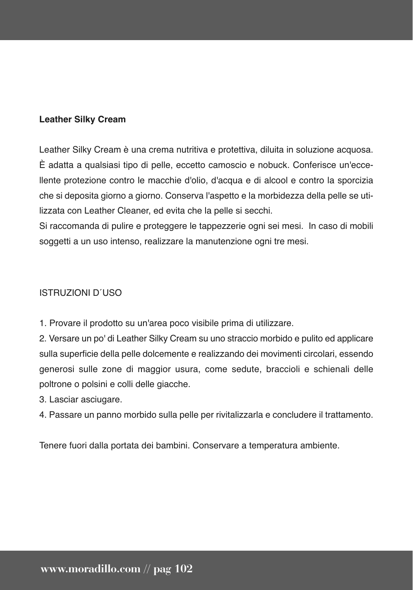Leather Silky Cream è una crema nutritiva e protettiva, diluita in soluzione acquosa. È adatta a qualsiasi tipo di pelle, eccetto camoscio e nobuck. Conferisce un'eccellente protezione contro le macchie d'olio, d'acqua e di alcool e contro la sporcizia che si deposita giorno a giorno. Conserva l'aspetto e la morbidezza della pelle se utilizzata con Leather Cleaner, ed evita che la pelle si secchi.

Si raccomanda di pulire e proteggere le tappezzerie ogni sei mesi. In caso di mobili soggetti a un uso intenso, realizzare la manutenzione ogni tre mesi.

#### ISTRUZIONI D´USO

1. Provare il prodotto su un'area poco visibile prima di utilizzare.

2. Versare un po' di Leather Silky Cream su uno straccio morbido e pulito ed applicare sulla superficie della pelle dolcemente e realizzando dei movimenti circolari, essendo generosi sulle zone di maggior usura, come sedute, braccioli e schienali delle poltrone o polsini e colli delle giacche.

3. Lasciar asciugare.

4. Passare un panno morbido sulla pelle per rivitalizzarla e concludere il trattamento.

Tenere fuori dalla portata dei bambini. Conservare a temperatura ambiente.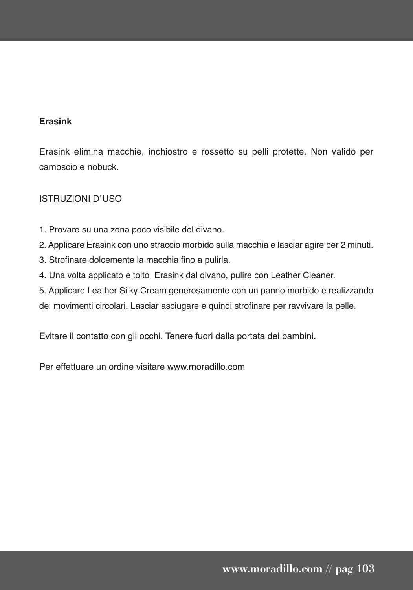#### **Erasink**

Erasink elimina macchie, inchiostro e rossetto su pelli protette. Non valido per camoscio e nobuck.

#### ISTRUZIONI D´USO

- 1. Provare su una zona poco visibile del divano.
- 2. Applicare Erasink con uno straccio morbido sulla macchia e lasciar agire per 2 minuti.
- 3. Strofinare dolcemente la macchia fino a pulirla.
- 4. Una volta applicato e tolto Erasink dal divano, pulire con Leather Cleaner.

5. Applicare Leather Silky Cream generosamente con un panno morbido e realizzando

dei movimenti circolari. Lasciar asciugare e quindi strofinare per ravvivare la pelle.

Evitare il contatto con gli occhi. Tenere fuori dalla portata dei bambini.

Per effettuare un ordine visitare www.moradillo.com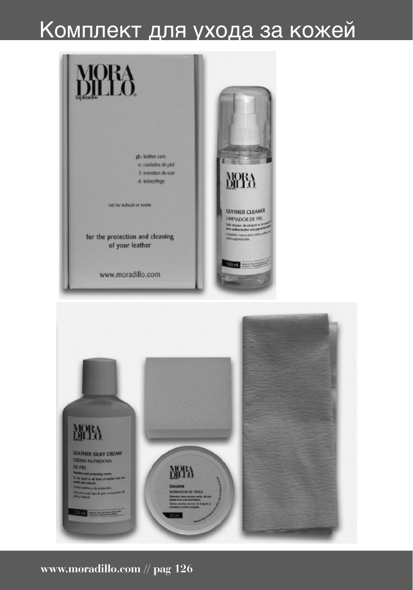### Комплект для ухода за кожей



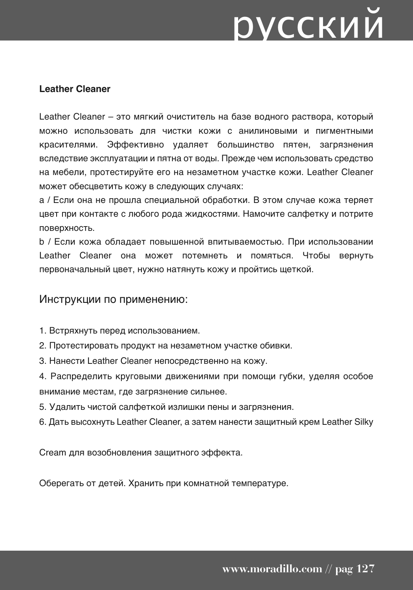# русский

#### **Leather Cleaner**

Leather Cleaner – это мягкий очиститель на базе водного раствора, который можно использовать для чистки кожи с анилиновыми и пигментными красителями. Эффективно удаляет большинство пятен, загрязнения вследствие эксплуатации и пятна от воды. Прежде чем использовать средство на мебели, протестируйте его на незаметном участке кожи. Leather Cleaner может обесцветить кожу в следующих случаях:

a / Если она не прошла специальной обработки. В этом случае кожа теряет цвет при контакте с любого рода жидкостями. Намочите салфетку и потрите поверхность.

b / Если кожа обладает повышенной впитываемостью. При использовании Leather Cleaner она может потемнеть и помяться. Чтобы вернуть первоначальный цвет, нужно натянуть кожу и пройтись щеткой.

#### Инструкции по применению:

- 1. Встряхнуть перед использованием.
- 2. Протестировать продукт на незаметном участке обивки.
- 3. Нанести Leather Cleaner непосредственно на кожу.

4. Распределить круговыми движениями при помощи губки, уделяя особое внимание местам, где загрязнение сильнее.

- 5. Удалить чистой салфеткой излишки пены и загрязнения.
- 6. Дать высохнуть Leather Cleaner, а затем нанести защитный крем Leather Silky

Cream для возобновления защитного эффекта.

Оберегать от детей. Хранить при комнатной температуре.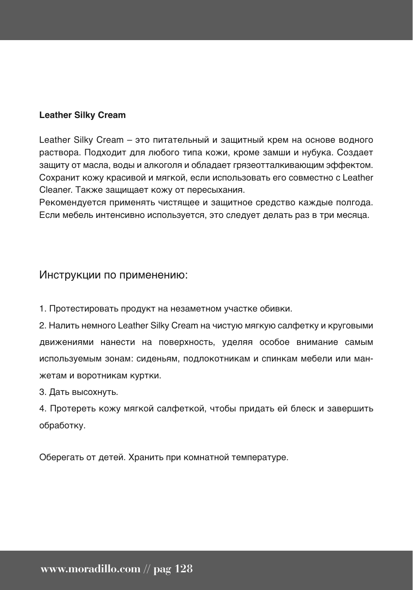Leather Silky Cream – это питательный и защитный крем на основе водного раствора. Подходит для любого типа кожи, кроме замши и нубука. Создает защиту от масла, воды и алкоголя и обладает грязеотталкивающим эффектом. Сохранит кожу красивой и мягкой, если использовать его совместно с Leather Cleaner. Также защищает кожу от пересыхания.

Рекомендуется применять чистящее и защитное средство каждые полгода. Если мебель интенсивно используется, это следует делать раз в три месяца.

#### Инструкции по применению:

1. Протестировать продукт на незаметном участке обивки.

2. Налить немного Leather Silky Cream на чистую мягкую салфетку и круговыми движениями нанести на поверхность, уделяя особое внимание самым используемым зонам: сиденьям, подлокотникам и спинкам мебели или манжетам и воротникам куртки.

3. Дать высохнуть.

4. Протереть кожу мягкой салфеткой, чтобы придать ей блеск и завершить обработку.

Оберегать от детей. Хранить при комнатной температуре.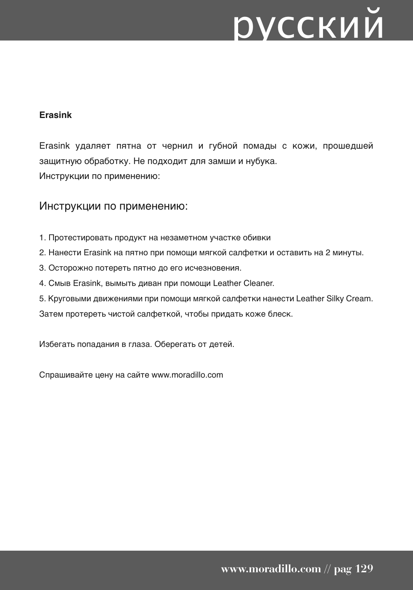# русский

#### **Erasink**

Erasink удаляет пятна от чернил и губной помады с кожи, прошедшей защитную обработку. Не подходит для замши и нубука. Инструкции по применению:

#### Инструкции по применению:

- 1. Протестировать продукт на незаметном участке обивки
- 2. Нанести Erasink на пятно при помощи мягкой салфетки и оставить на 2 минуты.
- 3. Осторожно потереть пятно до его исчезновения.
- 4. Смыв Erasink, вымыть диван при помощи Leather Cleaner.
- 5. Круговыми движениями при помощи мягкой салфетки нанести Leather Silky Cream.

Затем протереть чистой салфеткой, чтобы придать коже блеск.

Избегать попадания в глаза. Оберегать от детей.

Спрашивайте цену на сайте www.moradillo.com